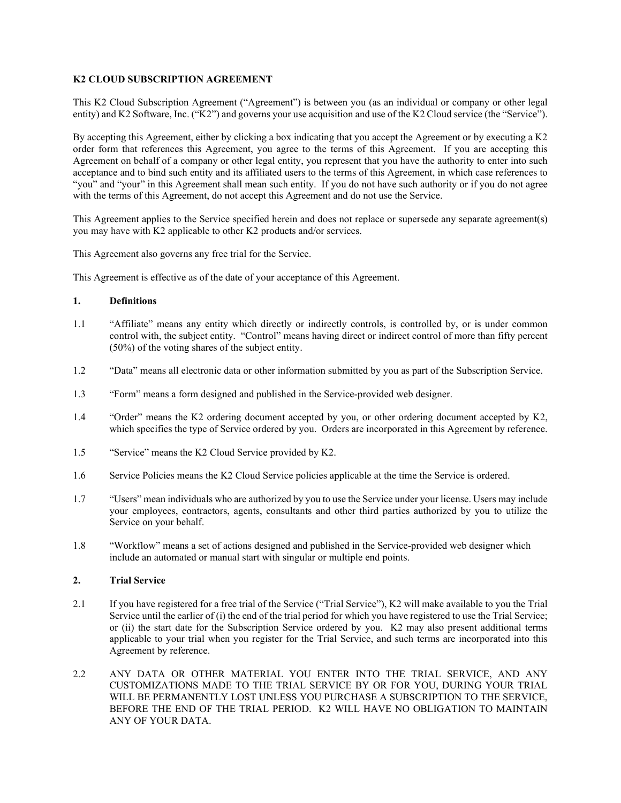## **K2 CLOUD SUBSCRIPTION AGREEMENT**

This K2 Cloud Subscription Agreement ("Agreement") is between you (as an individual or company or other legal entity) and K2 Software, Inc. ("K2") and governs your use acquisition and use of the K2 Cloud service (the "Service").

By accepting this Agreement, either by clicking a box indicating that you accept the Agreement or by executing a K2 order form that references this Agreement, you agree to the terms of this Agreement. If you are accepting this Agreement on behalf of a company or other legal entity, you represent that you have the authority to enter into such acceptance and to bind such entity and its affiliated users to the terms of this Agreement, in which case references to "you" and "your" in this Agreement shall mean such entity. If you do not have such authority or if you do not agree with the terms of this Agreement, do not accept this Agreement and do not use the Service.

This Agreement applies to the Service specified herein and does not replace or supersede any separate agreement(s) you may have with K2 applicable to other K2 products and/or services.

This Agreement also governs any free trial for the Service.

This Agreement is effective as of the date of your acceptance of this Agreement.

### **1. Definitions**

- 1.1 "Affiliate" means any entity which directly or indirectly controls, is controlled by, or is under common control with, the subject entity. "Control" means having direct or indirect control of more than fifty percent (50%) of the voting shares of the subject entity.
- 1.2 "Data" means all electronic data or other information submitted by you as part of the Subscription Service.
- 1.3 "Form" means a form designed and published in the Service-provided web designer.
- 1.4 "Order" means the K2 ordering document accepted by you, or other ordering document accepted by K2, which specifies the type of Service ordered by you. Orders are incorporated in this Agreement by reference.
- 1.5 "Service" means the K2 Cloud Service provided by K2.
- 1.6 Service Policies means the K2 Cloud Service policies applicable at the time the Service is ordered.
- 1.7 "Users" mean individuals who are authorized by you to use the Service under your license. Users may include your employees, contractors, agents, consultants and other third parties authorized by you to utilize the Service on your behalf.
- 1.8 "Workflow" means a set of actions designed and published in the Service-provided web designer which include an automated or manual start with singular or multiple end points.

## **2. Trial Service**

- 2.1 If you have registered for a free trial of the Service ("Trial Service"), K2 will make available to you the Trial Service until the earlier of (i) the end of the trial period for which you have registered to use the Trial Service; or (ii) the start date for the Subscription Service ordered by you. K2 may also present additional terms applicable to your trial when you register for the Trial Service, and such terms are incorporated into this Agreement by reference.
- 2.2 ANY DATA OR OTHER MATERIAL YOU ENTER INTO THE TRIAL SERVICE, AND ANY CUSTOMIZATIONS MADE TO THE TRIAL SERVICE BY OR FOR YOU, DURING YOUR TRIAL WILL BE PERMANENTLY LOST UNLESS YOU PURCHASE A SUBSCRIPTION TO THE SERVICE, BEFORE THE END OF THE TRIAL PERIOD. K2 WILL HAVE NO OBLIGATION TO MAINTAIN ANY OF YOUR DATA.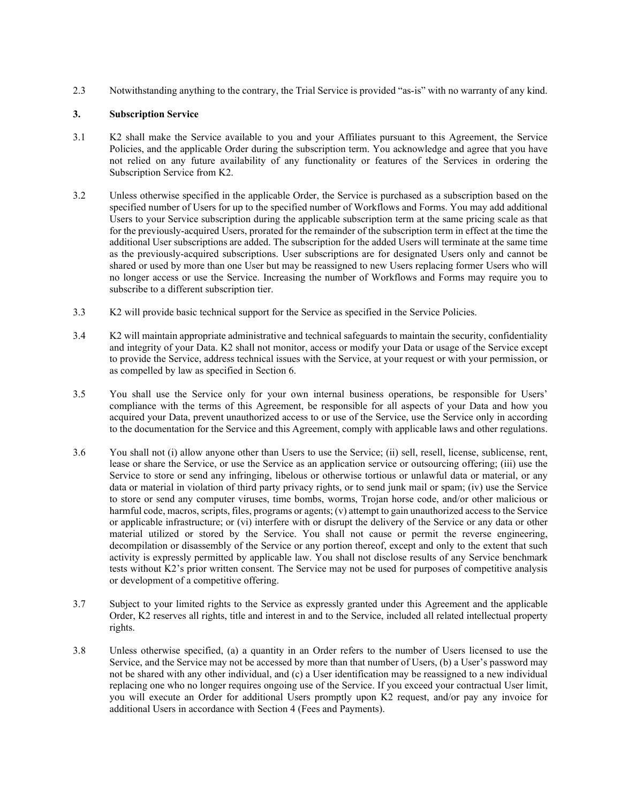2.3 Notwithstanding anything to the contrary, the Trial Service is provided "as-is" with no warranty of any kind.

### **3. Subscription Service**

- 3.1 K2 shall make the Service available to you and your Affiliates pursuant to this Agreement, the Service Policies, and the applicable Order during the subscription term. You acknowledge and agree that you have not relied on any future availability of any functionality or features of the Services in ordering the Subscription Service from K2.
- 3.2 Unless otherwise specified in the applicable Order, the Service is purchased as a subscription based on the specified number of Users for up to the specified number of Workflows and Forms. You may add additional Users to your Service subscription during the applicable subscription term at the same pricing scale as that for the previously-acquired Users, prorated for the remainder of the subscription term in effect at the time the additional User subscriptions are added. The subscription for the added Users will terminate at the same time as the previously-acquired subscriptions. User subscriptions are for designated Users only and cannot be shared or used by more than one User but may be reassigned to new Users replacing former Users who will no longer access or use the Service. Increasing the number of Workflows and Forms may require you to subscribe to a different subscription tier.
- 3.3 K2 will provide basic technical support for the Service as specified in the Service Policies.
- 3.4 K2 will maintain appropriate administrative and technical safeguards to maintain the security, confidentiality and integrity of your Data. K2 shall not monitor, access or modify your Data or usage of the Service except to provide the Service, address technical issues with the Service, at your request or with your permission, or as compelled by law as specified in Section 6.
- 3.5 You shall use the Service only for your own internal business operations, be responsible for Users' compliance with the terms of this Agreement, be responsible for all aspects of your Data and how you acquired your Data, prevent unauthorized access to or use of the Service, use the Service only in according to the documentation for the Service and this Agreement, comply with applicable laws and other regulations.
- 3.6 You shall not (i) allow anyone other than Users to use the Service; (ii) sell, resell, license, sublicense, rent, lease or share the Service, or use the Service as an application service or outsourcing offering; (iii) use the Service to store or send any infringing, libelous or otherwise tortious or unlawful data or material, or any data or material in violation of third party privacy rights, or to send junk mail or spam; (iv) use the Service to store or send any computer viruses, time bombs, worms, Trojan horse code, and/or other malicious or harmful code, macros, scripts, files, programs or agents; (v) attempt to gain unauthorized access to the Service or applicable infrastructure; or (vi) interfere with or disrupt the delivery of the Service or any data or other material utilized or stored by the Service. You shall not cause or permit the reverse engineering, decompilation or disassembly of the Service or any portion thereof, except and only to the extent that such activity is expressly permitted by applicable law. You shall not disclose results of any Service benchmark tests without K2's prior written consent. The Service may not be used for purposes of competitive analysis or development of a competitive offering.
- 3.7 Subject to your limited rights to the Service as expressly granted under this Agreement and the applicable Order, K2 reserves all rights, title and interest in and to the Service, included all related intellectual property rights.
- 3.8 Unless otherwise specified, (a) a quantity in an Order refers to the number of Users licensed to use the Service, and the Service may not be accessed by more than that number of Users, (b) a User's password may not be shared with any other individual, and (c) a User identification may be reassigned to a new individual replacing one who no longer requires ongoing use of the Service. If you exceed your contractual User limit, you will execute an Order for additional Users promptly upon K2 request, and/or pay any invoice for additional Users in accordance with Section 4 (Fees and Payments).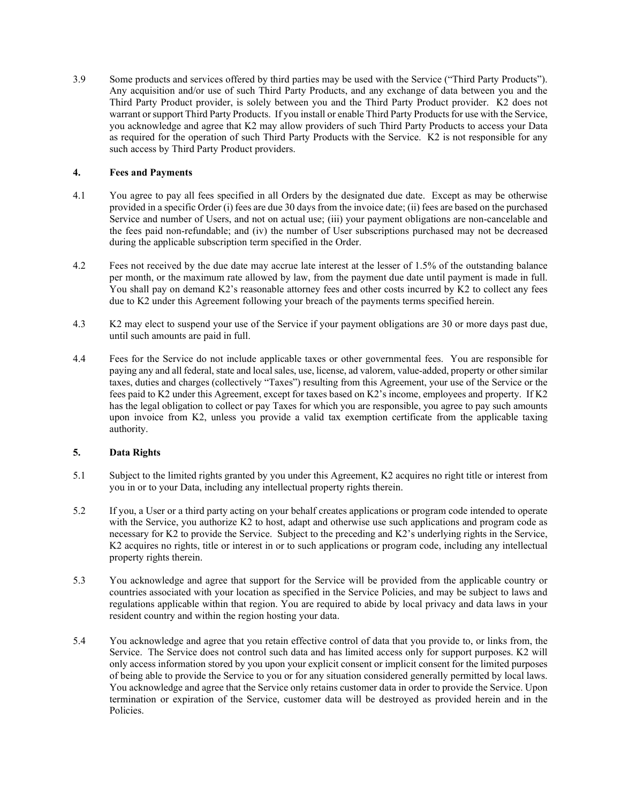3.9 Some products and services offered by third parties may be used with the Service ("Third Party Products"). Any acquisition and/or use of such Third Party Products, and any exchange of data between you and the Third Party Product provider, is solely between you and the Third Party Product provider. K2 does not warrant or support Third Party Products. If you install or enable Third Party Products for use with the Service, you acknowledge and agree that K2 may allow providers of such Third Party Products to access your Data as required for the operation of such Third Party Products with the Service. K2 is not responsible for any such access by Third Party Product providers.

## **4. Fees and Payments**

- 4.1 You agree to pay all fees specified in all Orders by the designated due date. Except as may be otherwise provided in a specific Order (i) fees are due 30 days from the invoice date; (ii) fees are based on the purchased Service and number of Users, and not on actual use; (iii) your payment obligations are non-cancelable and the fees paid non-refundable; and (iv) the number of User subscriptions purchased may not be decreased during the applicable subscription term specified in the Order.
- 4.2 Fees not received by the due date may accrue late interest at the lesser of 1.5% of the outstanding balance per month, or the maximum rate allowed by law, from the payment due date until payment is made in full. You shall pay on demand K2's reasonable attorney fees and other costs incurred by K2 to collect any fees due to K2 under this Agreement following your breach of the payments terms specified herein.
- 4.3 K2 may elect to suspend your use of the Service if your payment obligations are 30 or more days past due, until such amounts are paid in full.
- 4.4 Fees for the Service do not include applicable taxes or other governmental fees. You are responsible for paying any and all federal, state and local sales, use, license, ad valorem, value-added, property or other similar taxes, duties and charges (collectively "Taxes") resulting from this Agreement, your use of the Service or the fees paid to K2 under this Agreement, except for taxes based on K2's income, employees and property. If K2 has the legal obligation to collect or pay Taxes for which you are responsible, you agree to pay such amounts upon invoice from K2, unless you provide a valid tax exemption certificate from the applicable taxing authority.

# **5. Data Rights**

- 5.1 Subject to the limited rights granted by you under this Agreement, K2 acquires no right title or interest from you in or to your Data, including any intellectual property rights therein.
- 5.2 If you, a User or a third party acting on your behalf creates applications or program code intended to operate with the Service, you authorize K2 to host, adapt and otherwise use such applications and program code as necessary for K2 to provide the Service. Subject to the preceding and K2's underlying rights in the Service, K2 acquires no rights, title or interest in or to such applications or program code, including any intellectual property rights therein.
- 5.3 You acknowledge and agree that support for the Service will be provided from the applicable country or countries associated with your location as specified in the Service Policies, and may be subject to laws and regulations applicable within that region. You are required to abide by local privacy and data laws in your resident country and within the region hosting your data.
- 5.4 You acknowledge and agree that you retain effective control of data that you provide to, or links from, the Service. The Service does not control such data and has limited access only for support purposes. K2 will only access information stored by you upon your explicit consent or implicit consent for the limited purposes of being able to provide the Service to you or for any situation considered generally permitted by local laws. You acknowledge and agree that the Service only retains customer data in order to provide the Service. Upon termination or expiration of the Service, customer data will be destroyed as provided herein and in the Policies.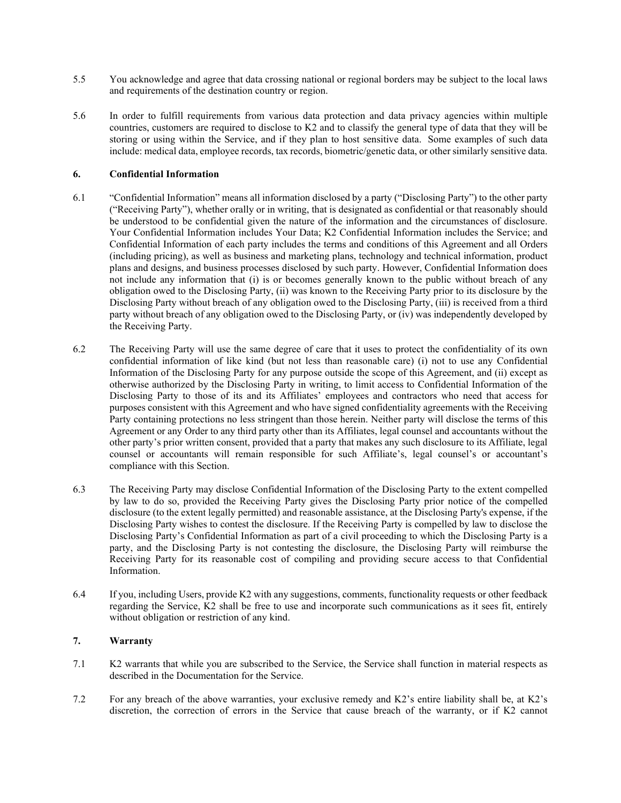- 5.5 You acknowledge and agree that data crossing national or regional borders may be subject to the local laws and requirements of the destination country or region.
- 5.6 In order to fulfill requirements from various data protection and data privacy agencies within multiple countries, customers are required to disclose to K2 and to classify the general type of data that they will be storing or using within the Service, and if they plan to host sensitive data. Some examples of such data include: medical data, employee records, tax records, biometric/genetic data, or other similarly sensitive data.

### **6. Confidential Information**

- 6.1 "Confidential Information" means all information disclosed by a party ("Disclosing Party") to the other party ("Receiving Party"), whether orally or in writing, that is designated as confidential or that reasonably should be understood to be confidential given the nature of the information and the circumstances of disclosure. Your Confidential Information includes Your Data; K2 Confidential Information includes the Service; and Confidential Information of each party includes the terms and conditions of this Agreement and all Orders (including pricing), as well as business and marketing plans, technology and technical information, product plans and designs, and business processes disclosed by such party. However, Confidential Information does not include any information that (i) is or becomes generally known to the public without breach of any obligation owed to the Disclosing Party, (ii) was known to the Receiving Party prior to its disclosure by the Disclosing Party without breach of any obligation owed to the Disclosing Party, (iii) is received from a third party without breach of any obligation owed to the Disclosing Party, or (iv) was independently developed by the Receiving Party.
- 6.2 The Receiving Party will use the same degree of care that it uses to protect the confidentiality of its own confidential information of like kind (but not less than reasonable care) (i) not to use any Confidential Information of the Disclosing Party for any purpose outside the scope of this Agreement, and (ii) except as otherwise authorized by the Disclosing Party in writing, to limit access to Confidential Information of the Disclosing Party to those of its and its Affiliates' employees and contractors who need that access for purposes consistent with this Agreement and who have signed confidentiality agreements with the Receiving Party containing protections no less stringent than those herein. Neither party will disclose the terms of this Agreement or any Order to any third party other than its Affiliates, legal counsel and accountants without the other party's prior written consent, provided that a party that makes any such disclosure to its Affiliate, legal counsel or accountants will remain responsible for such Affiliate's, legal counsel's or accountant's compliance with this Section.
- 6.3 The Receiving Party may disclose Confidential Information of the Disclosing Party to the extent compelled by law to do so, provided the Receiving Party gives the Disclosing Party prior notice of the compelled disclosure (to the extent legally permitted) and reasonable assistance, at the Disclosing Party's expense, if the Disclosing Party wishes to contest the disclosure. If the Receiving Party is compelled by law to disclose the Disclosing Party's Confidential Information as part of a civil proceeding to which the Disclosing Party is a party, and the Disclosing Party is not contesting the disclosure, the Disclosing Party will reimburse the Receiving Party for its reasonable cost of compiling and providing secure access to that Confidential Information.
- 6.4 If you, including Users, provide K2 with any suggestions, comments, functionality requests or other feedback regarding the Service, K2 shall be free to use and incorporate such communications as it sees fit, entirely without obligation or restriction of any kind.

## **7. Warranty**

- 7.1 K2 warrants that while you are subscribed to the Service, the Service shall function in material respects as described in the Documentation for the Service.
- 7.2 For any breach of the above warranties, your exclusive remedy and K2's entire liability shall be, at K2's discretion, the correction of errors in the Service that cause breach of the warranty, or if K2 cannot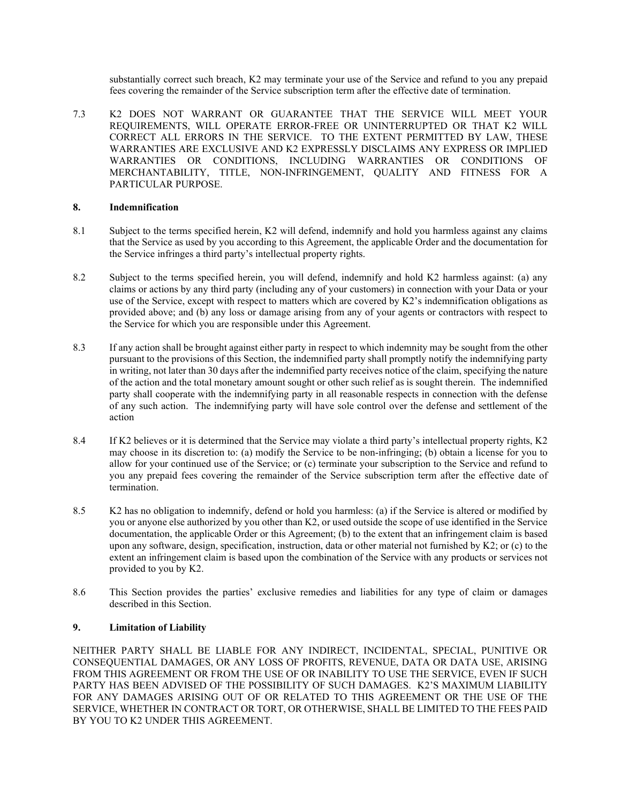substantially correct such breach, K2 may terminate your use of the Service and refund to you any prepaid fees covering the remainder of the Service subscription term after the effective date of termination.

7.3 K2 DOES NOT WARRANT OR GUARANTEE THAT THE SERVICE WILL MEET YOUR REQUIREMENTS, WILL OPERATE ERROR-FREE OR UNINTERRUPTED OR THAT K2 WILL CORRECT ALL ERRORS IN THE SERVICE. TO THE EXTENT PERMITTED BY LAW, THESE WARRANTIES ARE EXCLUSIVE AND K2 EXPRESSLY DISCLAIMS ANY EXPRESS OR IMPLIED WARRANTIES OR CONDITIONS, INCLUDING WARRANTIES OR CONDITIONS OF MERCHANTABILITY, TITLE, NON-INFRINGEMENT, QUALITY AND FITNESS FOR A PARTICULAR PURPOSE.

## **8. Indemnification**

- 8.1 Subject to the terms specified herein, K2 will defend, indemnify and hold you harmless against any claims that the Service as used by you according to this Agreement, the applicable Order and the documentation for the Service infringes a third party's intellectual property rights.
- 8.2 Subject to the terms specified herein, you will defend, indemnify and hold K2 harmless against: (a) any claims or actions by any third party (including any of your customers) in connection with your Data or your use of the Service, except with respect to matters which are covered by K2's indemnification obligations as provided above; and (b) any loss or damage arising from any of your agents or contractors with respect to the Service for which you are responsible under this Agreement.
- 8.3 If any action shall be brought against either party in respect to which indemnity may be sought from the other pursuant to the provisions of this Section, the indemnified party shall promptly notify the indemnifying party in writing, not later than 30 days after the indemnified party receives notice of the claim, specifying the nature of the action and the total monetary amount sought or other such relief as is sought therein. The indemnified party shall cooperate with the indemnifying party in all reasonable respects in connection with the defense of any such action. The indemnifying party will have sole control over the defense and settlement of the action
- 8.4 If K2 believes or it is determined that the Service may violate a third party's intellectual property rights, K2 may choose in its discretion to: (a) modify the Service to be non-infringing; (b) obtain a license for you to allow for your continued use of the Service; or (c) terminate your subscription to the Service and refund to you any prepaid fees covering the remainder of the Service subscription term after the effective date of termination.
- 8.5 K2 has no obligation to indemnify, defend or hold you harmless: (a) if the Service is altered or modified by you or anyone else authorized by you other than K2, or used outside the scope of use identified in the Service documentation, the applicable Order or this Agreement; (b) to the extent that an infringement claim is based upon any software, design, specification, instruction, data or other material not furnished by K2; or (c) to the extent an infringement claim is based upon the combination of the Service with any products or services not provided to you by K2.
- 8.6 This Section provides the parties' exclusive remedies and liabilities for any type of claim or damages described in this Section.

## **9. Limitation of Liability**

NEITHER PARTY SHALL BE LIABLE FOR ANY INDIRECT, INCIDENTAL, SPECIAL, PUNITIVE OR CONSEQUENTIAL DAMAGES, OR ANY LOSS OF PROFITS, REVENUE, DATA OR DATA USE, ARISING FROM THIS AGREEMENT OR FROM THE USE OF OR INABILITY TO USE THE SERVICE, EVEN IF SUCH PARTY HAS BEEN ADVISED OF THE POSSIBILITY OF SUCH DAMAGES. K2'S MAXIMUM LIABILITY FOR ANY DAMAGES ARISING OUT OF OR RELATED TO THIS AGREEMENT OR THE USE OF THE SERVICE, WHETHER IN CONTRACT OR TORT, OR OTHERWISE, SHALL BE LIMITED TO THE FEES PAID BY YOU TO K2 UNDER THIS AGREEMENT.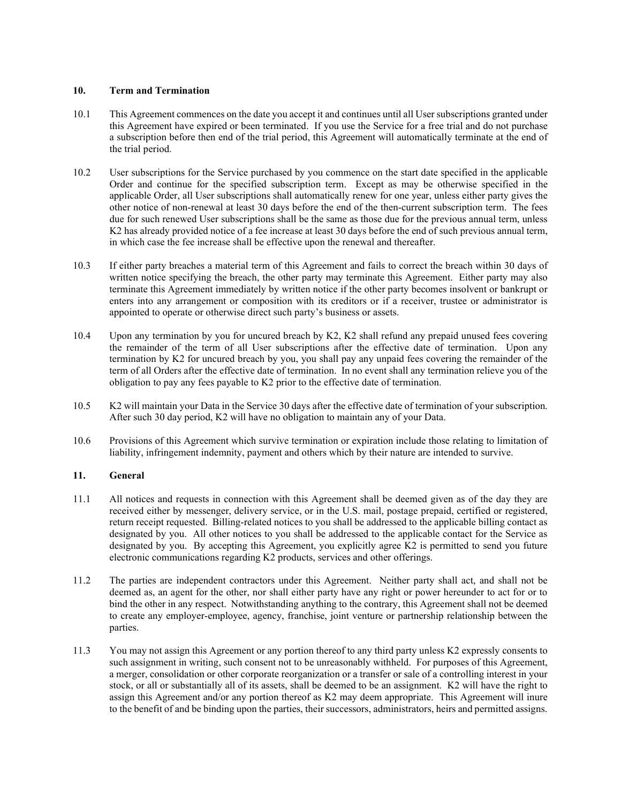#### **10. Term and Termination**

- 10.1 This Agreement commences on the date you accept it and continues until all User subscriptions granted under this Agreement have expired or been terminated. If you use the Service for a free trial and do not purchase a subscription before then end of the trial period, this Agreement will automatically terminate at the end of the trial period.
- 10.2 User subscriptions for the Service purchased by you commence on the start date specified in the applicable Order and continue for the specified subscription term. Except as may be otherwise specified in the applicable Order, all User subscriptions shall automatically renew for one year, unless either party gives the other notice of non-renewal at least 30 days before the end of the then-current subscription term. The fees due for such renewed User subscriptions shall be the same as those due for the previous annual term, unless K2 has already provided notice of a fee increase at least 30 days before the end of such previous annual term, in which case the fee increase shall be effective upon the renewal and thereafter.
- 10.3 If either party breaches a material term of this Agreement and fails to correct the breach within 30 days of written notice specifying the breach, the other party may terminate this Agreement. Either party may also terminate this Agreement immediately by written notice if the other party becomes insolvent or bankrupt or enters into any arrangement or composition with its creditors or if a receiver, trustee or administrator is appointed to operate or otherwise direct such party's business or assets.
- 10.4 Upon any termination by you for uncured breach by K2, K2 shall refund any prepaid unused fees covering the remainder of the term of all User subscriptions after the effective date of termination. Upon any termination by K2 for uncured breach by you, you shall pay any unpaid fees covering the remainder of the term of all Orders after the effective date of termination. In no event shall any termination relieve you of the obligation to pay any fees payable to K2 prior to the effective date of termination.
- 10.5 K2 will maintain your Data in the Service 30 days after the effective date of termination of your subscription. After such 30 day period, K2 will have no obligation to maintain any of your Data.
- 10.6 Provisions of this Agreement which survive termination or expiration include those relating to limitation of liability, infringement indemnity, payment and others which by their nature are intended to survive.

## **11. General**

- 11.1 All notices and requests in connection with this Agreement shall be deemed given as of the day they are received either by messenger, delivery service, or in the U.S. mail, postage prepaid, certified or registered, return receipt requested. Billing-related notices to you shall be addressed to the applicable billing contact as designated by you. All other notices to you shall be addressed to the applicable contact for the Service as designated by you. By accepting this Agreement, you explicitly agree K2 is permitted to send you future electronic communications regarding K2 products, services and other offerings.
- 11.2 The parties are independent contractors under this Agreement. Neither party shall act, and shall not be deemed as, an agent for the other, nor shall either party have any right or power hereunder to act for or to bind the other in any respect. Notwithstanding anything to the contrary, this Agreement shall not be deemed to create any employer-employee, agency, franchise, joint venture or partnership relationship between the parties.
- 11.3 You may not assign this Agreement or any portion thereof to any third party unless K2 expressly consents to such assignment in writing, such consent not to be unreasonably withheld. For purposes of this Agreement, a merger, consolidation or other corporate reorganization or a transfer or sale of a controlling interest in your stock, or all or substantially all of its assets, shall be deemed to be an assignment. K2 will have the right to assign this Agreement and/or any portion thereof as K2 may deem appropriate. This Agreement will inure to the benefit of and be binding upon the parties, their successors, administrators, heirs and permitted assigns.